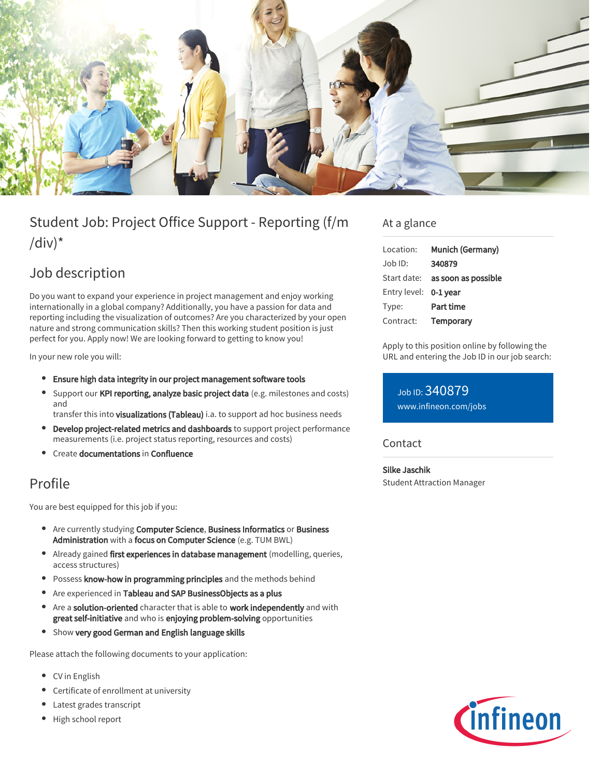

# Student Job: Project Office Support - Reporting (f/m /div) $*$

## Job description

Do you want to expand your experience in project management and enjoy working internationally in a global company? Additionally, you have a passion for data and reporting including the visualization of outcomes? Are you characterized by your open nature and strong communication skills? Then this working student position is just perfect for you. Apply now! We are looking forward to getting to know you!

In your new role you will:

- Ensure high data integrity in our project management software tools
- Support our KPI reporting, analyze basic project data (e.g. milestones and costs) and

transfer this into visualizations (Tableau) i.a. to support ad hoc business needs

- Develop project-related metrics and dashboards to support project performance measurements (i.e. project status reporting, resources and costs)
- Create documentations in Confluence

### Profile

You are best equipped for this job if you:

- Are currently studying Computer Science, Business Informatics or Business Administration with a focus on Computer Science (e.g. TUM BWL)
- Already gained first experiences in database management (modelling, queries, access structures)
- Possess know-how in programming principles and the methods behind
- Are experienced in Tableau and SAP BusinessObjects as a plus
- Are a solution-oriented character that is able to work independently and with great self-initiative and who is enjoying problem-solving opportunities
- Show very good German and English language skills

Please attach the following documents to your application:

- CV in English
- Certificate of enrollment at university
- Latest grades transcript
- High school report

#### At a glance

| Munich (Germany)                       |
|----------------------------------------|
| 340879                                 |
| Start date: <b>as soon as possible</b> |
| Entry level: 0-1 year                  |
| Part time                              |
| Temporary                              |
|                                        |

Apply to this position online by following the URL and entering the Job ID in our job search:

#### Job ID: 340879 [www.infineon.com/jobs](https://www.infineon.com/jobs)

#### **Contact**

Silke Jaschik Student Attraction Manager